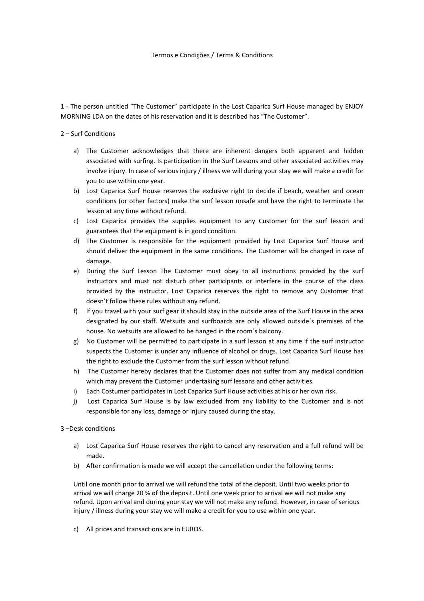### Termos e Condições / Terms & Conditions

1 - The person untitled "The Customer" participate in the Lost Caparica Surf House managed by ENJOY MORNING LDA on the dates of his reservation and it is described has "The Customer".

# 2 – Surf Conditions

- a) The Customer acknowledges that there are inherent dangers both apparent and hidden associated with surfing. Is participation in the Surf Lessons and other associated activities may involve injury. In case of serious injury / illness we will during your stay we will make a credit for you to use within one year.
- b) Lost Caparica Surf House reserves the exclusive right to decide if beach, weather and ocean conditions (or other factors) make the surf lesson unsafe and have the right to terminate the lesson at any time without refund.
- c) Lost Caparica provides the supplies equipment to any Customer for the surf lesson and guarantees that the equipment is in good condition.
- d) The Customer is responsible for the equipment provided by Lost Caparica Surf House and should deliver the equipment in the same conditions. The Customer will be charged in case of damage.
- e) During the Surf Lesson The Customer must obey to all instructions provided by the surf instructors and must not disturb other participants or interfere in the course of the class provided by the instructor. Lost Caparica reserves the right to remove any Customer that doesn't follow these rules without any refund.
- f) If you travel with your surf gear it should stay in the outside area of the Surf House in the area designated by our staff. Wetsuits and surfboards are only allowed outside´s premises of the house. No wetsuits are allowed to be hanged in the room´s balcony.
- g) No Customer will be permitted to participate in a surf lesson at any time if the surf instructor suspects the Customer is under any influence of alcohol or drugs. Lost Caparica Surf House has the right to exclude the Customer from the surf lesson without refund.
- h) The Customer hereby declares that the Customer does not suffer from any medical condition which may prevent the Customer undertaking surf lessons and other activities.
- i) Each Costumer participates in Lost Caparica Surf House activities at his or her own risk.
- j) Lost Caparica Surf House is by law excluded from any liability to the Customer and is not responsible for any loss, damage or injury caused during the stay.

# 3 –Desk conditions

- a) Lost Caparica Surf House reserves the right to cancel any reservation and a full refund will be made.
- b) After confirmation is made we will accept the cancellation under the following terms:

Until one month prior to arrival we will refund the total of the deposit. Until two weeks prior to arrival we will charge 20 % of the deposit. Until one week prior to arrival we will not make any refund. Upon arrival and during your stay we will not make any refund. However, in case of serious injury / illness during your stay we will make a credit for you to use within one year.

c) All prices and transactions are in EUROS.